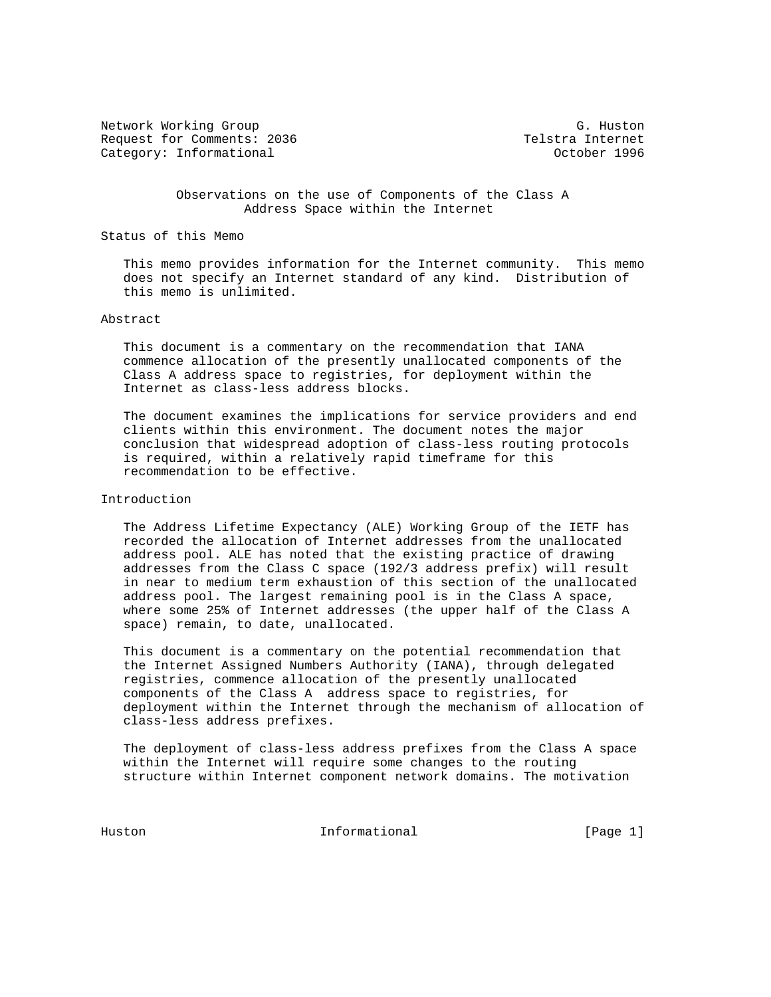Network Working Group G. Huston G. Huston Request for Comments: 2036 Telstra Internet Category: Informational and Category: Informational category: October 1996

 Observations on the use of Components of the Class A Address Space within the Internet

Status of this Memo

 This memo provides information for the Internet community. This memo does not specify an Internet standard of any kind. Distribution of this memo is unlimited.

## Abstract

 This document is a commentary on the recommendation that IANA commence allocation of the presently unallocated components of the Class A address space to registries, for deployment within the Internet as class-less address blocks.

 The document examines the implications for service providers and end clients within this environment. The document notes the major conclusion that widespread adoption of class-less routing protocols is required, within a relatively rapid timeframe for this recommendation to be effective.

## Introduction

 The Address Lifetime Expectancy (ALE) Working Group of the IETF has recorded the allocation of Internet addresses from the unallocated address pool. ALE has noted that the existing practice of drawing addresses from the Class C space (192/3 address prefix) will result in near to medium term exhaustion of this section of the unallocated address pool. The largest remaining pool is in the Class A space, where some 25% of Internet addresses (the upper half of the Class A space) remain, to date, unallocated.

 This document is a commentary on the potential recommendation that the Internet Assigned Numbers Authority (IANA), through delegated registries, commence allocation of the presently unallocated components of the Class A address space to registries, for deployment within the Internet through the mechanism of allocation of class-less address prefixes.

 The deployment of class-less address prefixes from the Class A space within the Internet will require some changes to the routing structure within Internet component network domains. The motivation

Huston **Informational Informational** [Page 1]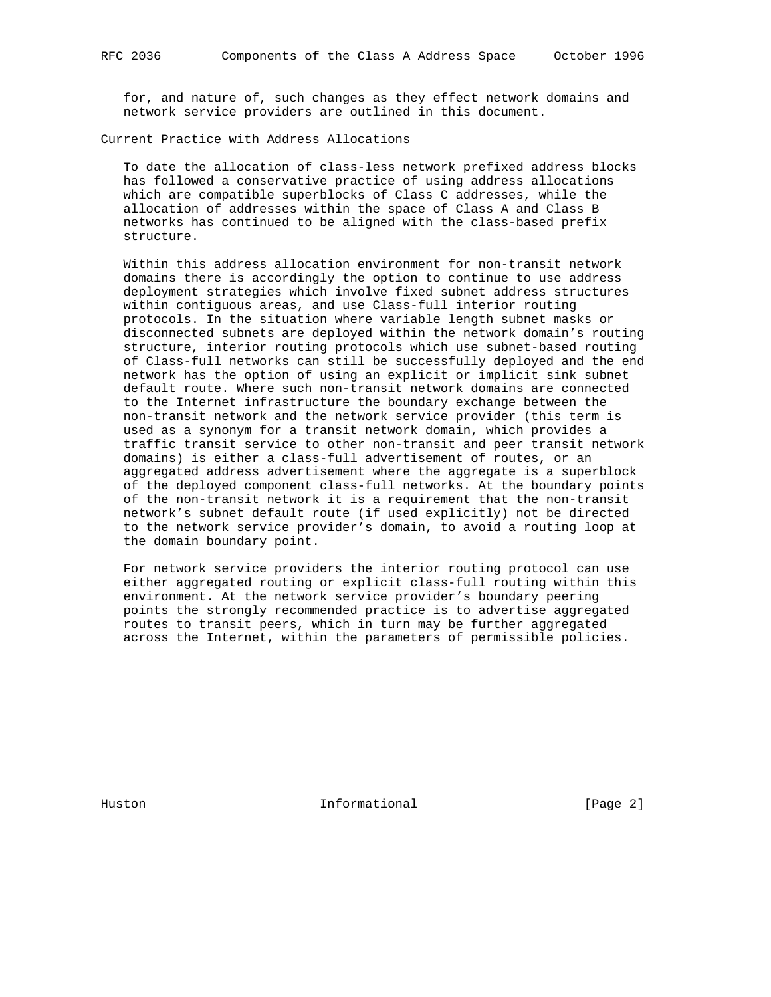for, and nature of, such changes as they effect network domains and network service providers are outlined in this document.

Current Practice with Address Allocations

 To date the allocation of class-less network prefixed address blocks has followed a conservative practice of using address allocations which are compatible superblocks of Class C addresses, while the allocation of addresses within the space of Class A and Class B networks has continued to be aligned with the class-based prefix structure.

 Within this address allocation environment for non-transit network domains there is accordingly the option to continue to use address deployment strategies which involve fixed subnet address structures within contiguous areas, and use Class-full interior routing protocols. In the situation where variable length subnet masks or disconnected subnets are deployed within the network domain's routing structure, interior routing protocols which use subnet-based routing of Class-full networks can still be successfully deployed and the end network has the option of using an explicit or implicit sink subnet default route. Where such non-transit network domains are connected to the Internet infrastructure the boundary exchange between the non-transit network and the network service provider (this term is used as a synonym for a transit network domain, which provides a traffic transit service to other non-transit and peer transit network domains) is either a class-full advertisement of routes, or an aggregated address advertisement where the aggregate is a superblock of the deployed component class-full networks. At the boundary points of the non-transit network it is a requirement that the non-transit network's subnet default route (if used explicitly) not be directed to the network service provider's domain, to avoid a routing loop at the domain boundary point.

 For network service providers the interior routing protocol can use either aggregated routing or explicit class-full routing within this environment. At the network service provider's boundary peering points the strongly recommended practice is to advertise aggregated routes to transit peers, which in turn may be further aggregated across the Internet, within the parameters of permissible policies.

Huston **Informational Informational** [Page 2]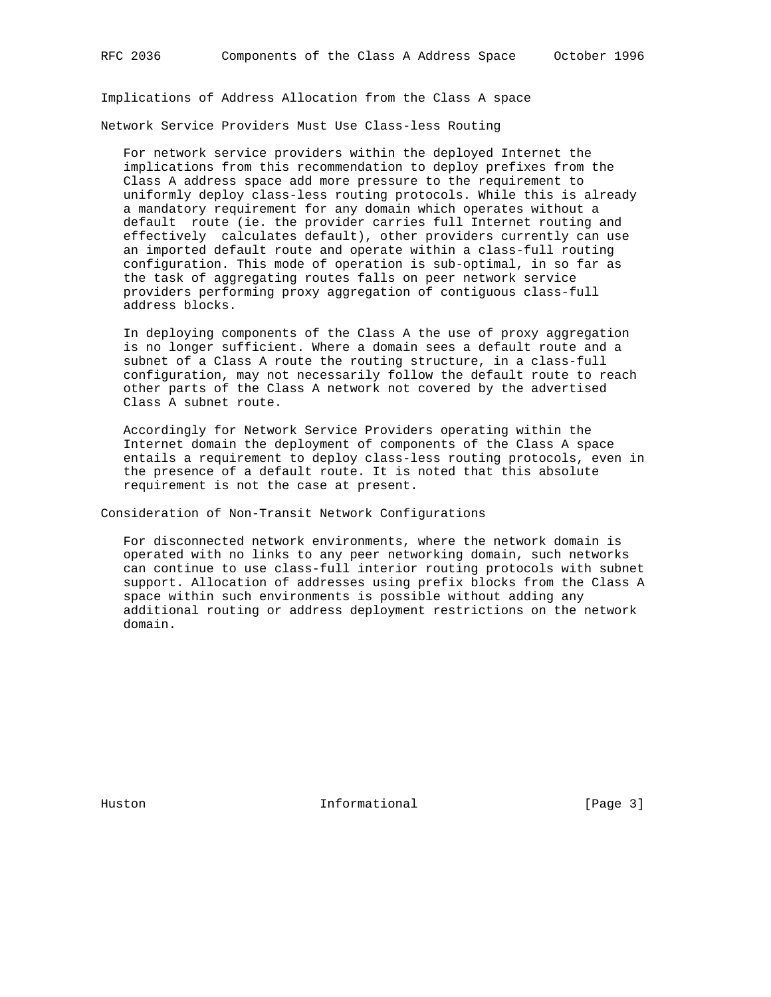Implications of Address Allocation from the Class A space

Network Service Providers Must Use Class-less Routing

 For network service providers within the deployed Internet the implications from this recommendation to deploy prefixes from the Class A address space add more pressure to the requirement to uniformly deploy class-less routing protocols. While this is already a mandatory requirement for any domain which operates without a default route (ie. the provider carries full Internet routing and effectively calculates default), other providers currently can use an imported default route and operate within a class-full routing configuration. This mode of operation is sub-optimal, in so far as the task of aggregating routes falls on peer network service providers performing proxy aggregation of contiguous class-full address blocks.

 In deploying components of the Class A the use of proxy aggregation is no longer sufficient. Where a domain sees a default route and a subnet of a Class A route the routing structure, in a class-full configuration, may not necessarily follow the default route to reach other parts of the Class A network not covered by the advertised Class A subnet route.

 Accordingly for Network Service Providers operating within the Internet domain the deployment of components of the Class A space entails a requirement to deploy class-less routing protocols, even in the presence of a default route. It is noted that this absolute requirement is not the case at present.

Consideration of Non-Transit Network Configurations

 For disconnected network environments, where the network domain is operated with no links to any peer networking domain, such networks can continue to use class-full interior routing protocols with subnet support. Allocation of addresses using prefix blocks from the Class A space within such environments is possible without adding any additional routing or address deployment restrictions on the network domain.

Huston **Informational Informational** [Page 3]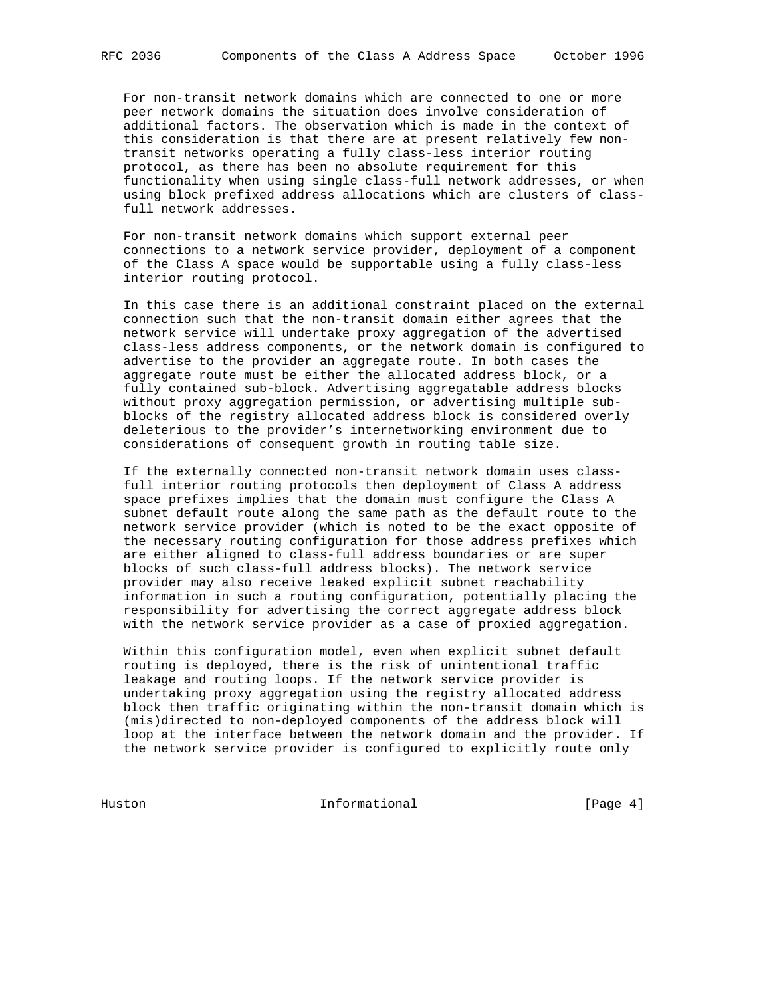For non-transit network domains which are connected to one or more peer network domains the situation does involve consideration of additional factors. The observation which is made in the context of this consideration is that there are at present relatively few non transit networks operating a fully class-less interior routing protocol, as there has been no absolute requirement for this functionality when using single class-full network addresses, or when using block prefixed address allocations which are clusters of class full network addresses.

 For non-transit network domains which support external peer connections to a network service provider, deployment of a component of the Class A space would be supportable using a fully class-less interior routing protocol.

 In this case there is an additional constraint placed on the external connection such that the non-transit domain either agrees that the network service will undertake proxy aggregation of the advertised class-less address components, or the network domain is configured to advertise to the provider an aggregate route. In both cases the aggregate route must be either the allocated address block, or a fully contained sub-block. Advertising aggregatable address blocks without proxy aggregation permission, or advertising multiple sub blocks of the registry allocated address block is considered overly deleterious to the provider's internetworking environment due to considerations of consequent growth in routing table size.

 If the externally connected non-transit network domain uses class full interior routing protocols then deployment of Class A address space prefixes implies that the domain must configure the Class A subnet default route along the same path as the default route to the network service provider (which is noted to be the exact opposite of the necessary routing configuration for those address prefixes which are either aligned to class-full address boundaries or are super blocks of such class-full address blocks). The network service provider may also receive leaked explicit subnet reachability information in such a routing configuration, potentially placing the responsibility for advertising the correct aggregate address block with the network service provider as a case of proxied aggregation.

 Within this configuration model, even when explicit subnet default routing is deployed, there is the risk of unintentional traffic leakage and routing loops. If the network service provider is undertaking proxy aggregation using the registry allocated address block then traffic originating within the non-transit domain which is (mis)directed to non-deployed components of the address block will loop at the interface between the network domain and the provider. If the network service provider is configured to explicitly route only

Huston Informational [Page 4]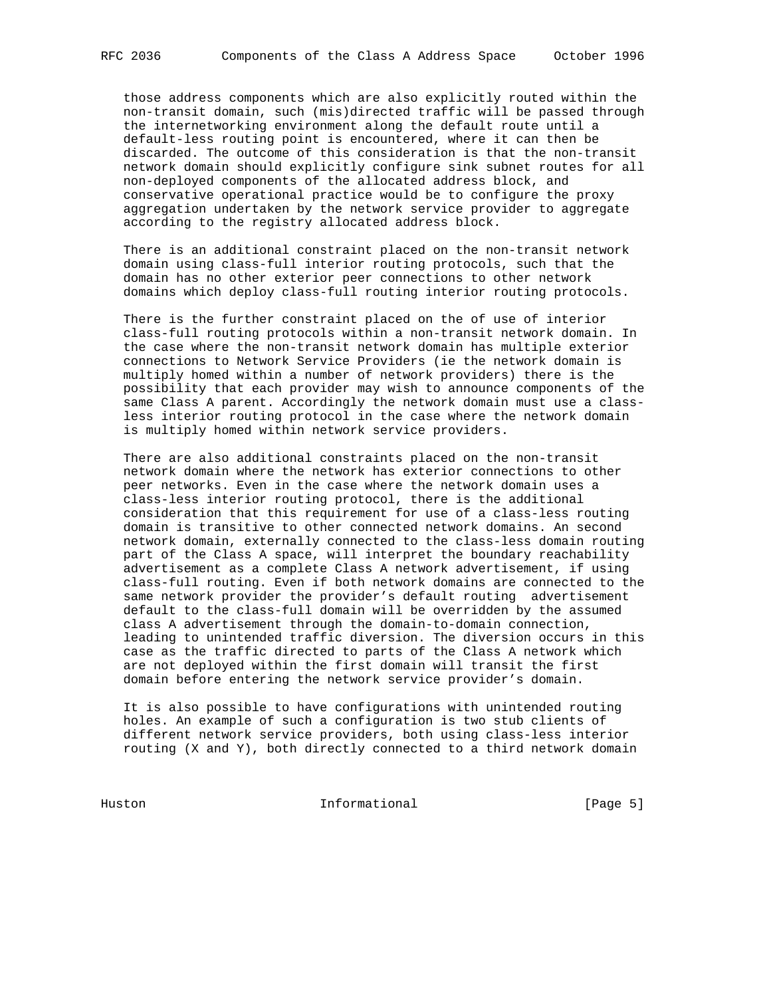those address components which are also explicitly routed within the non-transit domain, such (mis)directed traffic will be passed through the internetworking environment along the default route until a default-less routing point is encountered, where it can then be discarded. The outcome of this consideration is that the non-transit network domain should explicitly configure sink subnet routes for all non-deployed components of the allocated address block, and conservative operational practice would be to configure the proxy aggregation undertaken by the network service provider to aggregate according to the registry allocated address block.

 There is an additional constraint placed on the non-transit network domain using class-full interior routing protocols, such that the domain has no other exterior peer connections to other network domains which deploy class-full routing interior routing protocols.

 There is the further constraint placed on the of use of interior class-full routing protocols within a non-transit network domain. In the case where the non-transit network domain has multiple exterior connections to Network Service Providers (ie the network domain is multiply homed within a number of network providers) there is the possibility that each provider may wish to announce components of the same Class A parent. Accordingly the network domain must use a class less interior routing protocol in the case where the network domain is multiply homed within network service providers.

 There are also additional constraints placed on the non-transit network domain where the network has exterior connections to other peer networks. Even in the case where the network domain uses a class-less interior routing protocol, there is the additional consideration that this requirement for use of a class-less routing domain is transitive to other connected network domains. An second network domain, externally connected to the class-less domain routing part of the Class A space, will interpret the boundary reachability advertisement as a complete Class A network advertisement, if using class-full routing. Even if both network domains are connected to the same network provider the provider's default routing advertisement default to the class-full domain will be overridden by the assumed class A advertisement through the domain-to-domain connection, leading to unintended traffic diversion. The diversion occurs in this case as the traffic directed to parts of the Class A network which are not deployed within the first domain will transit the first domain before entering the network service provider's domain.

 It is also possible to have configurations with unintended routing holes. An example of such a configuration is two stub clients of different network service providers, both using class-less interior routing (X and Y), both directly connected to a third network domain

Huston Informational [Page 5]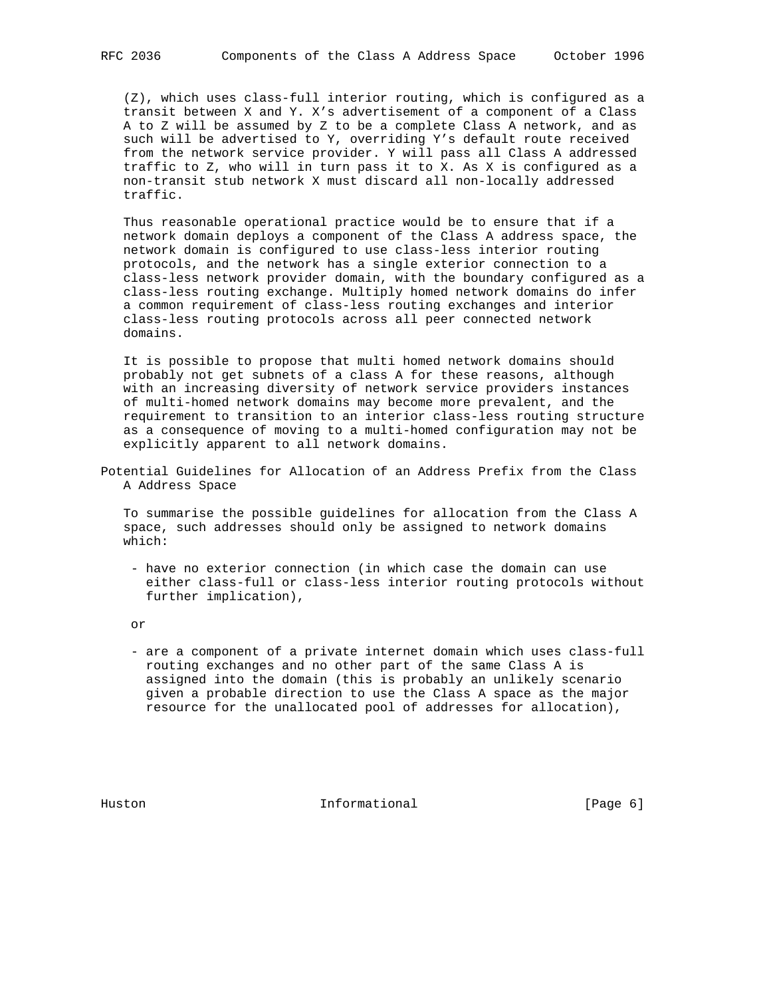(Z), which uses class-full interior routing, which is configured as a transit between X and Y. X's advertisement of a component of a Class A to Z will be assumed by Z to be a complete Class A network, and as such will be advertised to Y, overriding Y's default route received from the network service provider. Y will pass all Class A addressed traffic to Z, who will in turn pass it to X. As X is configured as a non-transit stub network X must discard all non-locally addressed traffic.

 Thus reasonable operational practice would be to ensure that if a network domain deploys a component of the Class A address space, the network domain is configured to use class-less interior routing protocols, and the network has a single exterior connection to a class-less network provider domain, with the boundary configured as a class-less routing exchange. Multiply homed network domains do infer a common requirement of class-less routing exchanges and interior class-less routing protocols across all peer connected network domains.

 It is possible to propose that multi homed network domains should probably not get subnets of a class A for these reasons, although with an increasing diversity of network service providers instances of multi-homed network domains may become more prevalent, and the requirement to transition to an interior class-less routing structure as a consequence of moving to a multi-homed configuration may not be explicitly apparent to all network domains.

Potential Guidelines for Allocation of an Address Prefix from the Class A Address Space

 To summarise the possible guidelines for allocation from the Class A space, such addresses should only be assigned to network domains which:

 - have no exterior connection (in which case the domain can use either class-full or class-less interior routing protocols without further implication),

or

 - are a component of a private internet domain which uses class-full routing exchanges and no other part of the same Class A is assigned into the domain (this is probably an unlikely scenario given a probable direction to use the Class A space as the major resource for the unallocated pool of addresses for allocation),

Huston **Informational Informational** [Page 6]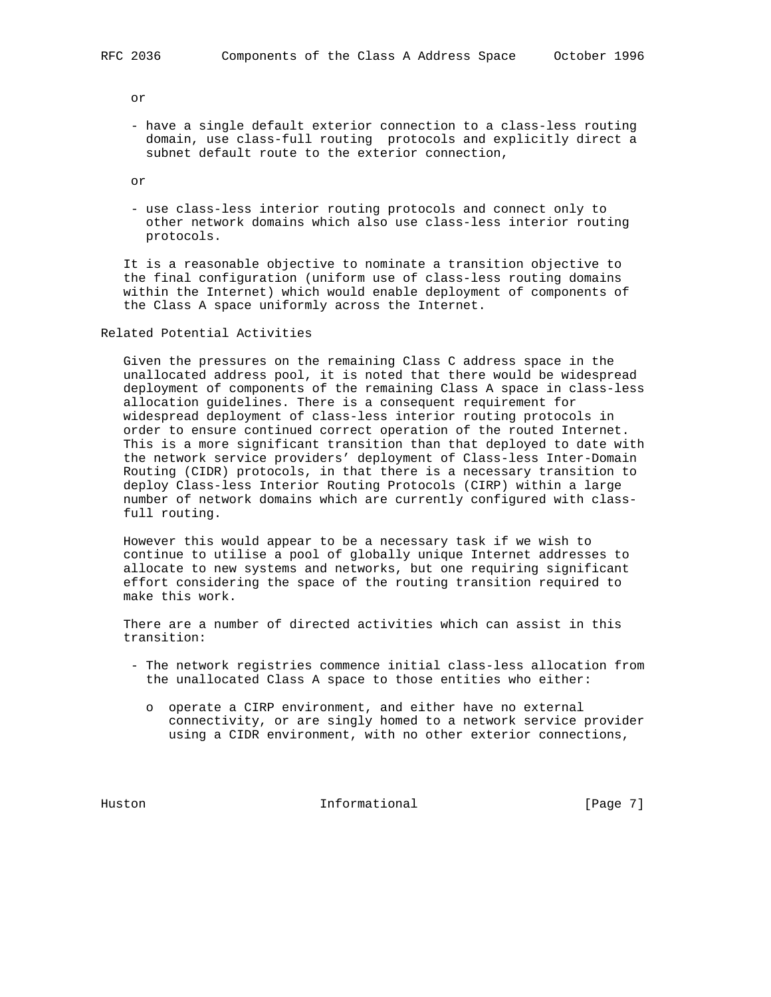or

 - have a single default exterior connection to a class-less routing domain, use class-full routing protocols and explicitly direct a subnet default route to the exterior connection,

or

 - use class-less interior routing protocols and connect only to other network domains which also use class-less interior routing protocols.

 It is a reasonable objective to nominate a transition objective to the final configuration (uniform use of class-less routing domains within the Internet) which would enable deployment of components of the Class A space uniformly across the Internet.

Related Potential Activities

 Given the pressures on the remaining Class C address space in the unallocated address pool, it is noted that there would be widespread deployment of components of the remaining Class A space in class-less allocation guidelines. There is a consequent requirement for widespread deployment of class-less interior routing protocols in order to ensure continued correct operation of the routed Internet. This is a more significant transition than that deployed to date with the network service providers' deployment of Class-less Inter-Domain Routing (CIDR) protocols, in that there is a necessary transition to deploy Class-less Interior Routing Protocols (CIRP) within a large number of network domains which are currently configured with class full routing.

 However this would appear to be a necessary task if we wish to continue to utilise a pool of globally unique Internet addresses to allocate to new systems and networks, but one requiring significant effort considering the space of the routing transition required to make this work.

 There are a number of directed activities which can assist in this transition:

- The network registries commence initial class-less allocation from the unallocated Class A space to those entities who either:
	- o operate a CIRP environment, and either have no external connectivity, or are singly homed to a network service provider using a CIDR environment, with no other exterior connections,

Huston **Informational Informational** [Page 7]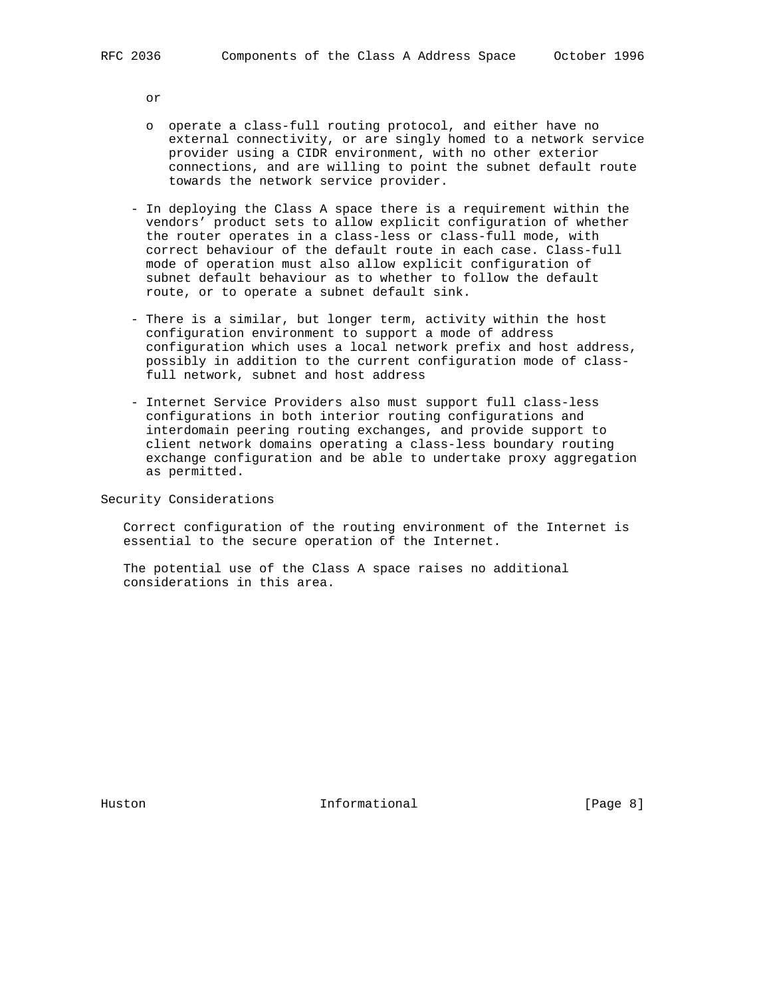or

- o operate a class-full routing protocol, and either have no external connectivity, or are singly homed to a network service provider using a CIDR environment, with no other exterior connections, and are willing to point the subnet default route towards the network service provider.
- In deploying the Class A space there is a requirement within the vendors' product sets to allow explicit configuration of whether the router operates in a class-less or class-full mode, with correct behaviour of the default route in each case. Class-full mode of operation must also allow explicit configuration of subnet default behaviour as to whether to follow the default route, or to operate a subnet default sink.
- There is a similar, but longer term, activity within the host configuration environment to support a mode of address configuration which uses a local network prefix and host address, possibly in addition to the current configuration mode of class full network, subnet and host address
- Internet Service Providers also must support full class-less configurations in both interior routing configurations and interdomain peering routing exchanges, and provide support to client network domains operating a class-less boundary routing exchange configuration and be able to undertake proxy aggregation as permitted.

Security Considerations

 Correct configuration of the routing environment of the Internet is essential to the secure operation of the Internet.

 The potential use of the Class A space raises no additional considerations in this area.

Huston **Informational Informational** [Page 8]